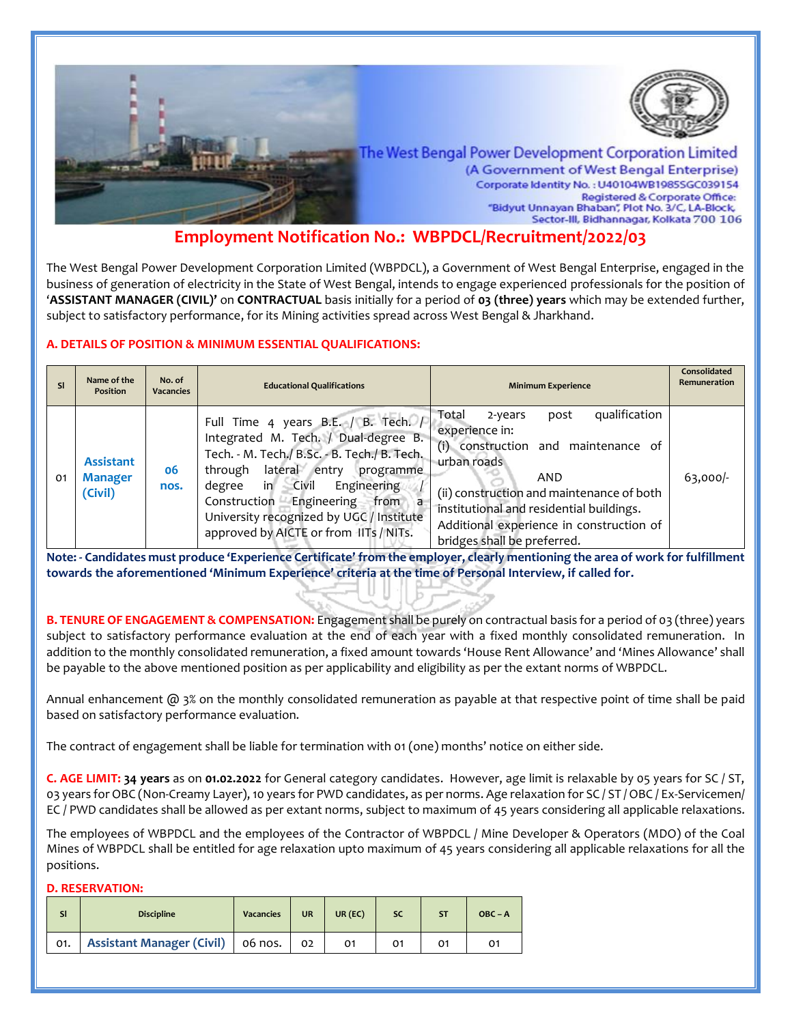

# **Employment Notification No.: WBPDCL/Recruitment/2022/03**

The West Bengal Power Development Corporation Limited (WBPDCL), a Government of West Bengal Enterprise, engaged in the business of generation of electricity in the State of West Bengal, intends to engage experienced professionals for the position of '**ASSISTANT MANAGER (CIVIL)'** on **CONTRACTUAL** basis initially for a period of **03 (three) years** which may be extended further, subject to satisfactory performance, for its Mining activities spread across West Bengal & Jharkhand.

# **A. DETAILS OF POSITION & MINIMUM ESSENTIAL QUALIFICATIONS:**

| <b>SI</b> | Name of the<br><b>Position</b>                | No. of<br><b>Vacancies</b> | <b>Educational Qualifications</b>                                                                                                                                                                                                                                                                                                         | <b>Minimum Experience</b>                                                                                                                                                                                                                                                                    | Consolidated<br>Remuneration |
|-----------|-----------------------------------------------|----------------------------|-------------------------------------------------------------------------------------------------------------------------------------------------------------------------------------------------------------------------------------------------------------------------------------------------------------------------------------------|----------------------------------------------------------------------------------------------------------------------------------------------------------------------------------------------------------------------------------------------------------------------------------------------|------------------------------|
| 01        | <b>Assistant</b><br><b>Manager</b><br>(Civil) | 06<br>nos.                 | Full Time 4 years B.E. / B. Tech. /<br>Integrated M. Tech. / Dual-degree B.<br>Tech. - M. Tech./ B.Sc. - B. Tech./ B. Tech.<br>lateral entry<br>through<br>programme<br>in.<br>Civil<br>Engineering<br>degree<br>Construction Engineering from<br>a<br>University recognized by UGC / Institute<br>approved by AICTE or from IITs / NITs. | qualification<br>Total<br>post<br>2-years<br>experience in:<br>(i) construction and maintenance of<br>urban roads<br>AND<br>(ii) construction and maintenance of both<br>institutional and residential buildings.<br>Additional experience in construction of<br>bridges shall be preferred. | $63,000$ -                   |

**Note: - Candidates must produce 'Experience Certificate' from the employer, clearly mentioning the area of work for fulfillment towards the aforementioned 'Minimum Experience' criteria at the time of Personal Interview, if called for.**

**B. TENURE OF ENGAGEMENT & COMPENSATION:** Engagement shall be purely on contractual basis for a period of 03 (three) years subject to satisfactory performance evaluation at the end of each year with a fixed monthly consolidated remuneration. In addition to the monthly consolidated remuneration, a fixed amount towards 'House Rent Allowance' and 'Mines Allowance' shall be payable to the above mentioned position as per applicability and eligibility as per the extant norms of WBPDCL.

Annual enhancement  $\omega$  3% on the monthly consolidated remuneration as payable at that respective point of time shall be paid based on satisfactory performance evaluation.

The contract of engagement shall be liable for termination with 01 (one) months' notice on either side.

**C. AGE LIMIT: 34 years** as on **01.02.2022** for General category candidates. However, age limit is relaxable by 05 years for SC / ST, 03 years for OBC (Non-Creamy Layer), 10 years for PWD candidates, as per norms. Age relaxation for SC / ST / OBC / Ex-Servicemen/ EC / PWD candidates shall be allowed as per extant norms, subject to maximum of 45 years considering all applicable relaxations.

The employees of WBPDCL and the employees of the Contractor of WBPDCL / Mine Developer & Operators (MDO) of the Coal Mines of WBPDCL shall be entitled for age relaxation upto maximum of 45 years considering all applicable relaxations for all the positions.

#### **D. RESERVATION:**

| <b>Discipline</b>                              | <b>Vacancies</b> | <b>UR</b> | $UR$ $(EC)$ | <b>SC</b> | $OBC - A$ |
|------------------------------------------------|------------------|-----------|-------------|-----------|-----------|
| 01.   Assistant Manager (Civil)   06 nos.   02 |                  |           |             |           |           |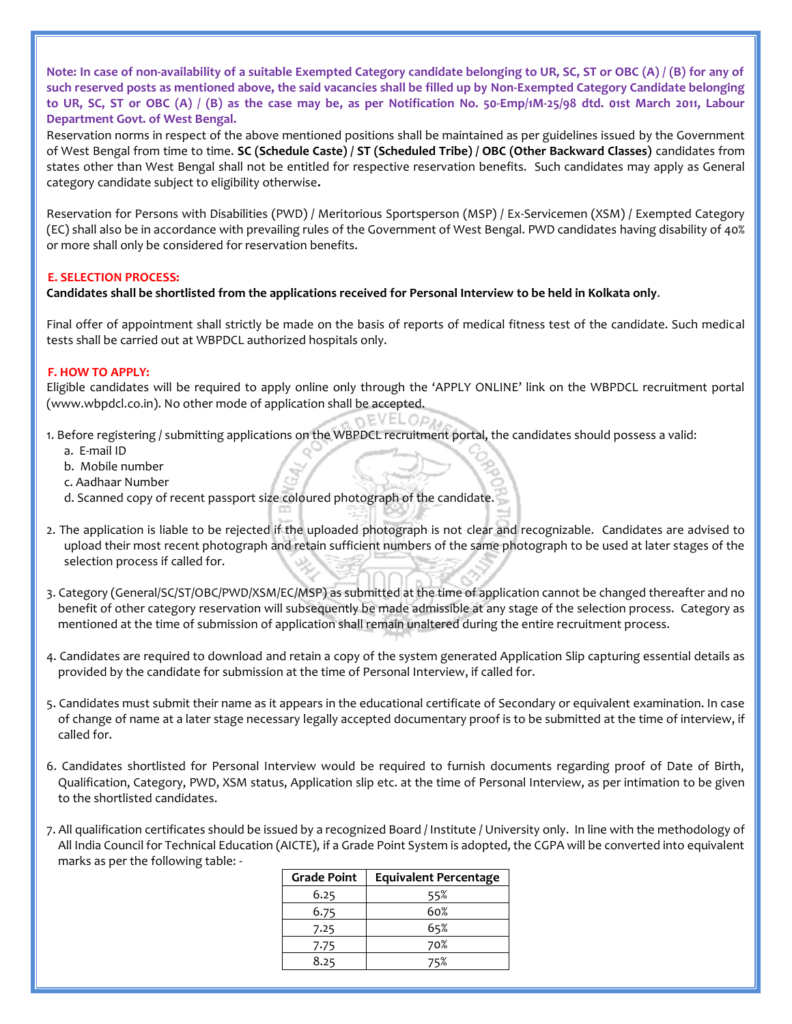**Note: In case of non-availability of a suitable Exempted Category candidate belonging to UR, SC, ST or OBC (A) / (B) for any of such reserved posts as mentioned above, the said vacancies shall be filled up by Non-Exempted Category Candidate belonging to UR, SC, ST or OBC (A) / (B) as the case may be, as per Notification No. 50-Emp/1M-25/98 dtd. 01st March 2011, Labour Department Govt. of West Bengal.**

Reservation norms in respect of the above mentioned positions shall be maintained as per guidelines issued by the Government of West Bengal from time to time. **SC (Schedule Caste) / ST (Scheduled Tribe) / OBC (Other Backward Classes)** candidates from states other than West Bengal shall not be entitled for respective reservation benefits. Such candidates may apply as General category candidate subject to eligibility otherwise**.**

Reservation for Persons with Disabilities (PWD) / Meritorious Sportsperson (MSP) / Ex-Servicemen (XSM) / Exempted Category (EC) shall also be in accordance with prevailing rules of the Government of West Bengal. PWD candidates having disability of 40% or more shall only be considered for reservation benefits.

### **E. SELECTION PROCESS:**

## **Candidates shall be shortlisted from the applications received for Personal Interview to be held in Kolkata only**.

Final offer of appointment shall strictly be made on the basis of reports of medical fitness test of the candidate. Such medical tests shall be carried out at WBPDCL authorized hospitals only.

### **F. HOW TO APPLY:**

Eligible candidates will be required to apply online only through the 'APPLY ONLINE' link on the WBPDCL recruitment portal (www.wbpdcl.co.in). No other mode of application shall be accepted. NEVELOP!

- 1. Before registering / submitting applications on the WBPDCL recruitment portal, the candidates should possess a valid:
	- a. E-mail ID
	- b. Mobile number
	- c. Aadhaar Number
	- d. Scanned copy of recent passport size coloured photograph of the candidate.
- 2. The application is liable to be rejected if the uploaded photograph is not clear and recognizable. Candidates are advised to upload their most recent photograph and retain sufficient numbers of the same photograph to be used at later stages of the selection process if called for.
- 3. Category (General/SC/ST/OBC/PWD/XSM/EC/MSP) as submitted at the time of application cannot be changed thereafter and no benefit of other category reservation will subsequently be made admissible at any stage of the selection process. Category as mentioned at the time of submission of application shall remain unaltered during the entire recruitment process.
- 4. Candidates are required to download and retain a copy of the system generated Application Slip capturing essential details as provided by the candidate for submission at the time of Personal Interview, if called for.
- 5. Candidates must submit their name as it appears in the educational certificate of Secondary or equivalent examination. In case of change of name at a later stage necessary legally accepted documentary proof is to be submitted at the time of interview, if called for.
- 6. Candidates shortlisted for Personal Interview would be required to furnish documents regarding proof of Date of Birth, Qualification, Category, PWD, XSM status, Application slip etc. at the time of Personal Interview, as per intimation to be given to the shortlisted candidates.

7. All qualification certificates should be issued by a recognized Board / Institute / University only. In line with the methodology of All India Council for Technical Education (AICTE), if a Grade Point System is adopted, the CGPA will be converted into equivalent marks as per the following table: -

| <b>Grade Point</b> | <b>Equivalent Percentage</b> |
|--------------------|------------------------------|
| 6.25               | 55%                          |
| 6.75               | 60%                          |
| 7.25               | 65%                          |
| 7.75               | 70%                          |
| 8.25               | 75%                          |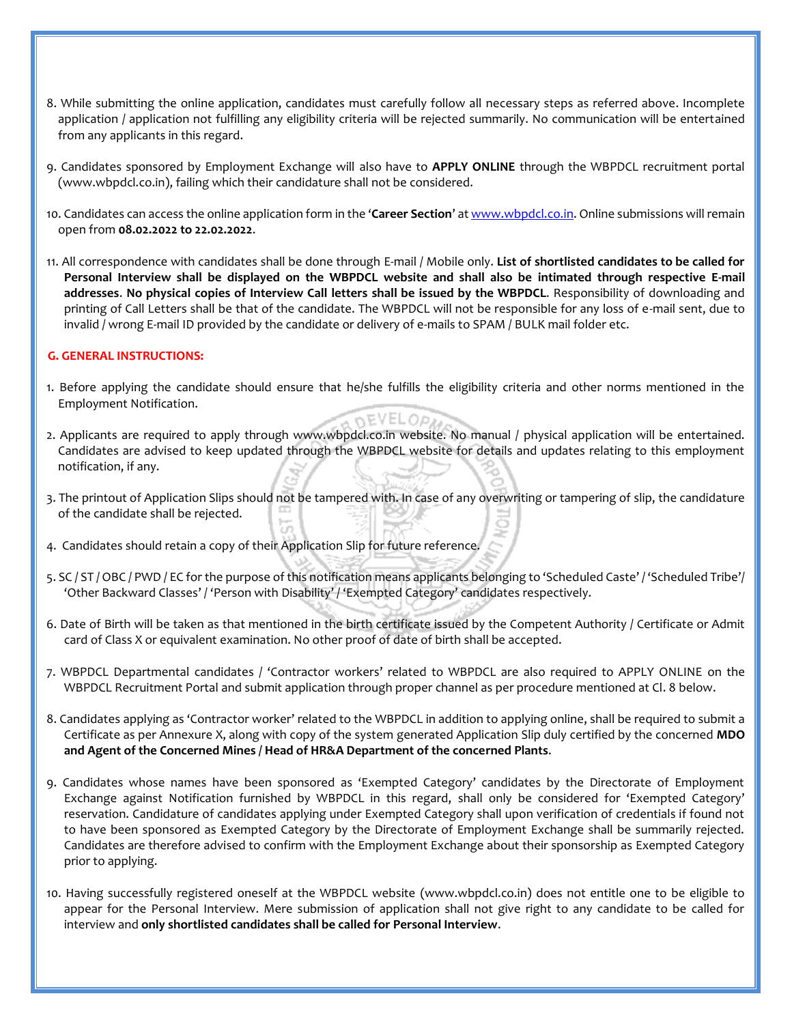- 8. While submitting the online application, candidates must carefully follow all necessary steps as referred above. Incomplete application / application not fulfilling any eligibility criteria will be rejected summarily. No communication will be entertained from any applicants in this regard.
- 9. Candidates sponsored by Employment Exchange will also have to **APPLY ONLINE** through the WBPDCL recruitment portal (www.wbpdcl.co.in), failing which their candidature shall not be considered.
- 10. Candidates can access the online application form in the '**Career Section**' a[t www.wbpdcl.co.in.](www.wbpdcl.co.in) Online submissions will remain open from **08.02.2022 to 22.02.2022**.
- 11. All correspondence with candidates shall be done through E-mail / Mobile only. **List of shortlisted candidates to be called for Personal Interview shall be displayed on the WBPDCL website and shall also be intimated through respective E-mail addresses**. **No physical copies of Interview Call letters shall be issued by the WBPDCL**. Responsibility of downloading and printing of Call Letters shall be that of the candidate. The WBPDCL will not be responsible for any loss of e-mail sent, due to invalid / wrong E-mail ID provided by the candidate or delivery of e-mails to SPAM / BULK mail folder etc.

#### **G. GENERAL INSTRUCTIONS:**

- 1. Before applying the candidate should ensure that he/she fulfills the eligibility criteria and other norms mentioned in the Employment Notification. nEVELOP!
- 2. Applicants are required to apply through www.wbpdcl.co.in website. No manual / physical application will be entertained. Candidates are advised to keep updated through the WBPDCL website for details and updates relating to this employment notification, if any.
- 3. The printout of Application Slips should not be tampered with. In case of any overwriting or tampering of slip, the candidature of the candidate shall be rejected.
- 4. Candidates should retain a copy of their Application Slip for future reference.
- 5. SC / ST / OBC / PWD / EC for the purpose of this notification means applicants belonging to 'Scheduled Caste' / 'Scheduled Tribe'/ 'Other Backward Classes' / 'Person with Disability' / 'Exempted Category' candidates respectively.
- 6. Date of Birth will be taken as that mentioned in the birth certificate issued by the Competent Authority / Certificate or Admit card of Class X or equivalent examination. No other proof of date of birth shall be accepted.
- 7. WBPDCL Departmental candidates / 'Contractor workers' related to WBPDCL are also required to APPLY ONLINE on the WBPDCL Recruitment Portal and submit application through proper channel as per procedure mentioned at Cl. 8 below.
- 8. Candidates applying as 'Contractor worker' related to the WBPDCL in addition to applying online, shall be required to submit a Certificate as per Annexure X, along with copy of the system generated Application Slip duly certified by the concerned **MDO and Agent of the Concerned Mines / Head of HR&A Department of the concerned Plants**.
- 9. Candidates whose names have been sponsored as 'Exempted Category' candidates by the Directorate of Employment Exchange against Notification furnished by WBPDCL in this regard, shall only be considered for 'Exempted Category' reservation. Candidature of candidates applying under Exempted Category shall upon verification of credentials if found not to have been sponsored as Exempted Category by the Directorate of Employment Exchange shall be summarily rejected. Candidates are therefore advised to confirm with the Employment Exchange about their sponsorship as Exempted Category prior to applying.
- 10. Having successfully registered oneself at the WBPDCL website (www.wbpdcl.co.in) does not entitle one to be eligible to appear for the Personal Interview. Mere submission of application shall not give right to any candidate to be called for interview and **only shortlisted candidates shall be called for Personal Interview**.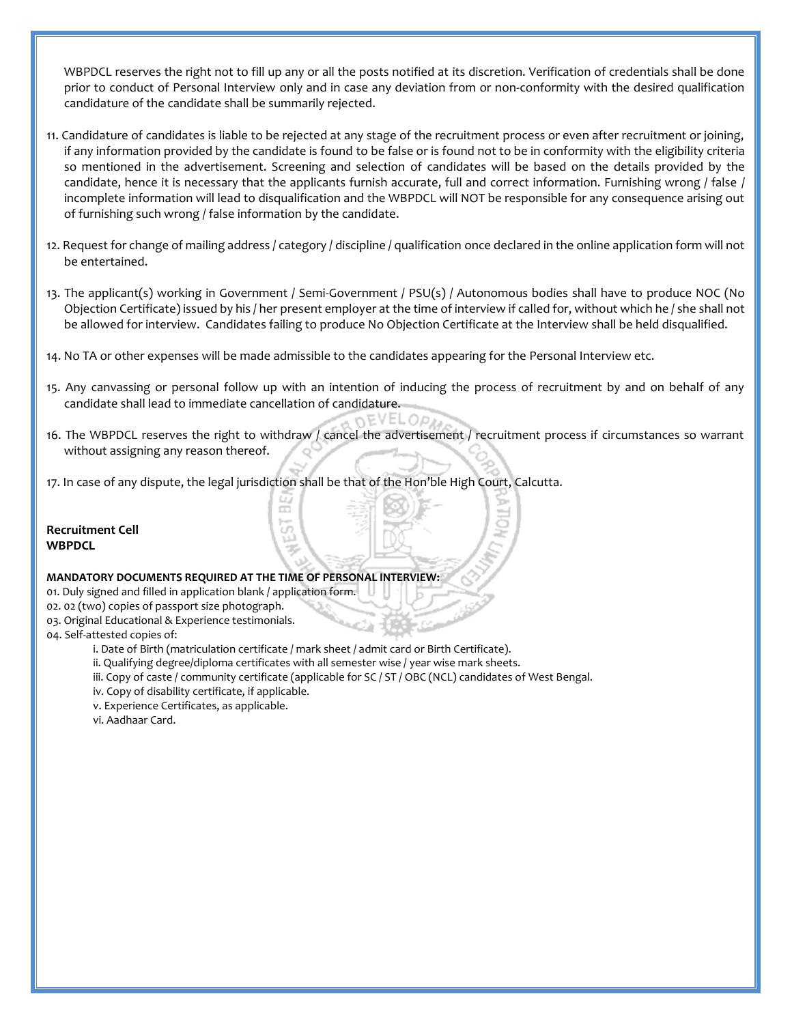WBPDCL reserves the right not to fill up any or all the posts notified at its discretion. Verification of credentials shall be done prior to conduct of Personal Interview only and in case any deviation from or non-conformity with the desired qualification candidature of the candidate shall be summarily rejected.

- 11. Candidature of candidates is liable to be rejected at any stage of the recruitment process or even after recruitment or joining, if any information provided by the candidate is found to be false or is found not to be in conformity with the eligibility criteria so mentioned in the advertisement. Screening and selection of candidates will be based on the details provided by the candidate, hence it is necessary that the applicants furnish accurate, full and correct information. Furnishing wrong / false / incomplete information will lead to disqualification and the WBPDCL will NOT be responsible for any consequence arising out of furnishing such wrong / false information by the candidate.
- 12. Request for change of mailing address / category / discipline / qualification once declared in the online application form will not be entertained.
- 13. The applicant(s) working in Government / Semi-Government / PSU(s) / Autonomous bodies shall have to produce NOC (No Objection Certificate) issued by his / her present employer at the time of interview if called for, without which he / she shall not be allowed for interview. Candidates failing to produce No Objection Certificate at the Interview shall be held disqualified.
- 14. No TA or other expenses will be made admissible to the candidates appearing for the Personal Interview etc.
- 15. Any canvassing or personal follow up with an intention of inducing the process of recruitment by and on behalf of any candidate shall lead to immediate cancellation of candidature. nEVELOP!
- 16. The WBPDCL reserves the right to withdraw / cancel the advertisement / recruitment process if circumstances so warrant without assigning any reason thereof.
- 17. In case of any dispute, the legal jurisdiction shall be that of the Hon'ble High Court, Calcutta.

 $\pi$ 

**Recruitment Cell WBPDCL**

#### **MANDATORY DOCUMENTS REQUIRED AT THE TIME OF PERSONAL INTERVIEW:**

- 01. Duly signed and filled in application blank / application form.
- 02. 02 (two) copies of passport size photograph.
- 03. Original Educational & Experience testimonials.
- 04. Self-attested copies of:
	- i. Date of Birth (matriculation certificate / mark sheet / admit card or Birth Certificate).
	- ii. Qualifying degree/diploma certificates with all semester wise / year wise mark sheets.
	- iii. Copy of caste / community certificate (applicable for SC / ST / OBC (NCL) candidates of West Bengal.
	- iv. Copy of disability certificate, if applicable.
	- v. Experience Certificates, as applicable.
	- vi. Aadhaar Card.